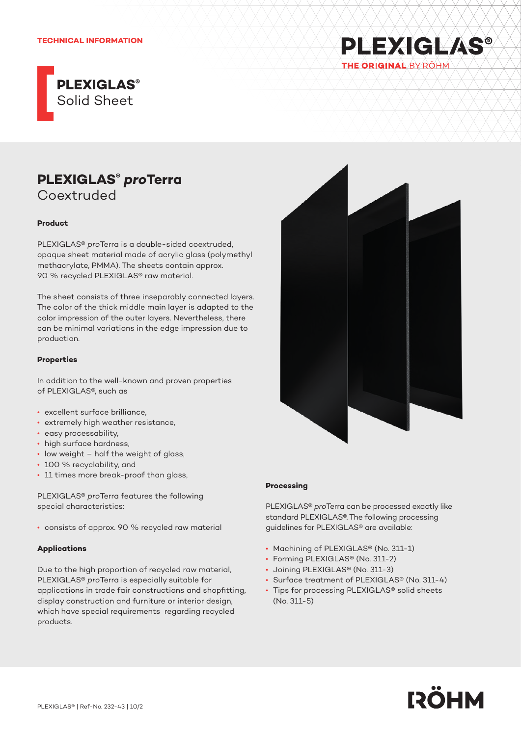#### **TECHNICAL INFORMATION**



# **PLEXIGLAS®** *pro***Terra** Coextruded

#### **Product**

PLEXIGLAS® *pro*Terra is a double-sided coextruded, opaque sheet material made of acrylic glass (polymethyl methacrylate, PMMA). The sheets contain approx. 90 % recycled PLEXIGLAS® raw material.

The sheet consists of three inseparably connected layers. The color of the thick middle main layer is adapted to the color impression of the outer layers. Nevertheless, there can be minimal variations in the edge impression due to production.

#### **Properties**

In addition to the well-known and proven properties of PLEXIGLAS®, such as

- excellent surface brilliance,
- extremely high weather resistance,
- easy processability,
- high surface hardness,
- low weight half the weight of glass,
- 100 % recyclability, and
- 11 times more break-proof than glass,

PLEXIGLAS® *pro*Terra features the following special characteristics:

• consists of approx. 90 % recycled raw material

#### **Applications**

Due to the high proportion of recycled raw material, PLEXIGLAS® *pro*Terra is especially suitable for applications in trade fair constructions and shopfitting, display construction and furniture or interior design, which have special requirements regarding recycled products.



**PLEXIGLAS®** 

THE ORIGINAL BY ROHM

### **Processing**

PLEXIGLAS® *pro*Terra can be processed exactly like standard PLEXIGLAS®. The following processing guidelines for PLEXIGLAS® are available:

- Machining of PLEXIGLAS® (No. 311-1)
- Forming PLEXIGLAS® (No. 311-2)
- Joining PLEXIGLAS® (No. 311-3)
- Surface treatment of PLEXIGLAS® (No. 311-4)
- Tips for processing PLEXIGLAS® solid sheets (No. 311-5)